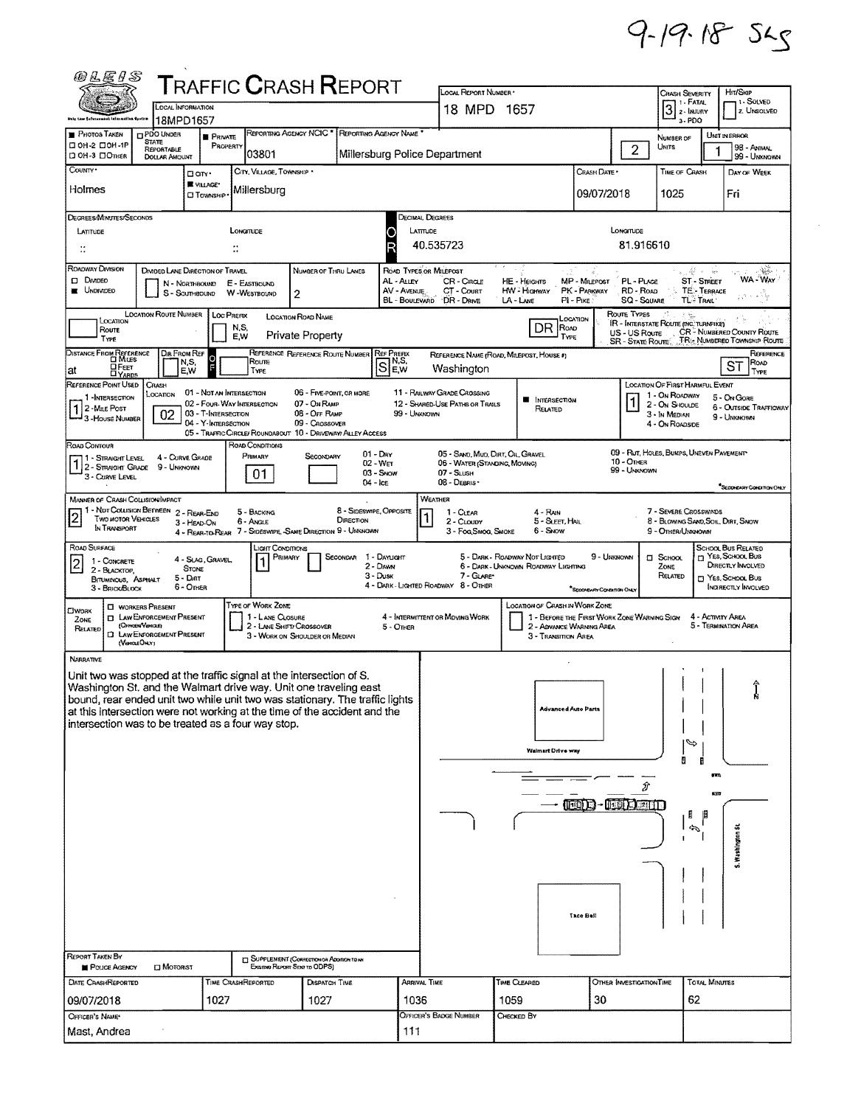## $9 - 19 - 18 - 52$

| <b>@LEIS</b>                                                                                                                                                                                                                                                                                               |                                                                                                                                                                                                |                                                   |                    |                                              |                                                             |                         |                           |                            |                                             |                                |                                                                               |                               |                            |                                                                 |                                                               |                                                     |  |  |  |
|------------------------------------------------------------------------------------------------------------------------------------------------------------------------------------------------------------------------------------------------------------------------------------------------------------|------------------------------------------------------------------------------------------------------------------------------------------------------------------------------------------------|---------------------------------------------------|--------------------|----------------------------------------------|-------------------------------------------------------------|-------------------------|---------------------------|----------------------------|---------------------------------------------|--------------------------------|-------------------------------------------------------------------------------|-------------------------------|----------------------------|-----------------------------------------------------------------|---------------------------------------------------------------|-----------------------------------------------------|--|--|--|
|                                                                                                                                                                                                                                                                                                            | <b>TRAFFIC CRASH REPORT</b><br>LOCAL INFORMATION                                                                                                                                               |                                                   |                    |                                              |                                                             |                         |                           |                            | LOCAL REPORT NUMBER<br>18 MPD 1657          |                                |                                                                               |                               |                            | <b>CRASH SEVERITY</b><br>1 - Fatal<br>$3$ $\sqrt{2}$ $\sqrt{3}$ |                                                               | HIT/SKIP<br>1- SOLVED<br>2. UNSOLVED                |  |  |  |
| bulo taw Enfurasment information Opstem<br>18MPD1657<br>REPORTING AGENCY NCIC * REPORTING AGENCY NAME<br><b>PHOTOS TAKEN</b><br>PDO UNDER                                                                                                                                                                  |                                                                                                                                                                                                |                                                   |                    |                                              |                                                             |                         |                           |                            |                                             |                                |                                                                               |                               |                            | 3-PDO                                                           |                                                               |                                                     |  |  |  |
| D OH-2 DOH-1P                                                                                                                                                                                                                                                                                              | <b>PRIVATE</b><br><b>STATE</b><br>PROPERTY<br>REPORTABLE<br>Millersburg Police Department                                                                                                      |                                                   |                    |                                              |                                                             |                         |                           |                            |                                             |                                |                                                                               |                               | $\overline{2}$             | NUMBER OF<br><b>UNITS</b>                                       |                                                               | UNIT IN ERROR<br>98 - Animal                        |  |  |  |
| CI OH-3 CIOTHER<br>COUNTY*                                                                                                                                                                                                                                                                                 | <b>DOLLAR AMOUNT</b>                                                                                                                                                                           |                                                   |                    | 03801<br>CITY, VILLAGE, TOWNSHIP .           |                                                             |                         |                           |                            |                                             |                                |                                                                               | Crash Date *                  |                            | <b>TIME OF CRASH</b>                                            |                                                               | 99 - Unknown<br>DAY OF WEEK                         |  |  |  |
| Holmes                                                                                                                                                                                                                                                                                                     |                                                                                                                                                                                                | Oon.<br>VILLAGE*                                  |                    | Millersburg                                  |                                                             |                         |                           |                            |                                             |                                |                                                                               |                               |                            |                                                                 |                                                               |                                                     |  |  |  |
|                                                                                                                                                                                                                                                                                                            |                                                                                                                                                                                                | <b>CI TOWNSHIP</b>                                |                    |                                              |                                                             |                         |                           |                            |                                             |                                |                                                                               | 09/07/2018                    |                            | 1025                                                            |                                                               | Fri                                                 |  |  |  |
| DEGREES/MINUTES/SECONDS<br>LATITUDE                                                                                                                                                                                                                                                                        |                                                                                                                                                                                                |                                                   | LONGITUDE          |                                              |                                                             |                         | O                         | DECIMAL DEGREES<br>LATTUDE |                                             |                                |                                                                               |                               | LONGITUDE                  |                                                                 |                                                               |                                                     |  |  |  |
|                                                                                                                                                                                                                                                                                                            |                                                                                                                                                                                                |                                                   | H                  |                                              |                                                             |                         | Ŕ                         | 81.916610<br>40.535723     |                                             |                                |                                                                               |                               |                            |                                                                 |                                                               |                                                     |  |  |  |
| Roadway Division                                                                                                                                                                                                                                                                                           | DIVIDED LANE DIRECTION OF TRAVEL                                                                                                                                                               |                                                   |                    |                                              | NUMBER OF THRU LANES                                        |                         | ROAD TYPES OR MILEPOST    |                            |                                             |                                |                                                                               |                               |                            |                                                                 | $\frac{1}{2}$ , $\frac{1}{2}$ , $\frac{1}{2}$ , $\frac{1}{2}$ | $\sim 3\%$ .                                        |  |  |  |
| $\square$ Dryideo<br><b>UNDIVIDED</b>                                                                                                                                                                                                                                                                      | N - NORTHBOUND<br>S - SOUTHBOUND                                                                                                                                                               |                                                   | E - EASTBOUND      | W-WESTBOUND                                  | 2                                                           |                         | AL - Alley<br>AV - AVENUE |                            | CR-CROLE<br>CT - Court                      | HE - Hearrs<br>HW - Highway    |                                                                               | MP - MILEPOST<br>PK - PARKWAY | PL - PLACE<br>RD - Roap    |                                                                 | ST - STREET<br>TE-TERRACE                                     | WA-WAY                                              |  |  |  |
|                                                                                                                                                                                                                                                                                                            |                                                                                                                                                                                                |                                                   |                    |                                              |                                                             |                         | <b>BL - BOULEVARD</b>     |                            | DR - DRNE                                   | LA - LANE                      | $PI - P$ IKE                                                                  |                               | <b>SQ - SQUARE</b>         |                                                                 | <b>TL- TRAIL</b>                                              | ولأفعامهن                                           |  |  |  |
| <b>LOCATION ROUTE NUMBER</b><br>Route Types<br>LOC PREFIX<br><b>LOCATION ROAD NAME</b><br>LOCATION<br>LOCATION<br>IR - INTERSTATE ROUTE (INC. TURNPIKE)<br>DR<br>N,S,<br><b>ROAD</b><br>Route<br>CR <sup>2</sup> NUMBERED COUNTY ROUTE                                                                     |                                                                                                                                                                                                |                                                   |                    |                                              |                                                             |                         |                           |                            |                                             |                                |                                                                               |                               |                            |                                                                 |                                                               |                                                     |  |  |  |
|                                                                                                                                                                                                                                                                                                            | US - US Route<br><b>Private Property</b><br>EW<br>TYPE<br>TYPE<br>SR - STATE ROUTE TR. NUMBERED TOWNSHIP ROUTE                                                                                 |                                                   |                    |                                              |                                                             |                         |                           |                            |                                             |                                |                                                                               |                               |                            |                                                                 |                                                               |                                                     |  |  |  |
| DISTANCE FROM REFERENCE<br>DIR FROM REF<br>REFERENCE REFERENCE ROUTE NUMBER<br><b>REF PREFIX</b><br>REFERENCE<br>REFERENCE NAME (ROAD, MILEPOST, HOUSE #)<br>$\frac{1}{5}$<br>IN, S.<br>N,S,<br>Roune<br>ROAD<br>ST<br>S<br><b>OFEET</b><br>EW<br>Washington<br>EW<br>lat<br>TYPE<br>TYPE<br><b>DYARDS</b> |                                                                                                                                                                                                |                                                   |                    |                                              |                                                             |                         |                           |                            |                                             |                                |                                                                               |                               |                            |                                                                 |                                                               |                                                     |  |  |  |
| REFERENCE POINT USED                                                                                                                                                                                                                                                                                       | CRASH<br>Location                                                                                                                                                                              | 01 - NOT AN INTERSECTION                          |                    |                                              | 06 - FIVE-POINT, OR MORE                                    |                         |                           |                            | 11 - RAILWAY GRADE CROSSING                 |                                |                                                                               |                               |                            | LOCATION OF FIRST HARMFUL EVENT<br>1 - On ROADWAY               |                                                               |                                                     |  |  |  |
| 1-INTERSECTION<br>2 - Mile Post                                                                                                                                                                                                                                                                            | 02                                                                                                                                                                                             | 02 - Four-Way INTERSECTION<br>03 - T-INTERSECTION |                    |                                              | 07 - On Ramp<br>08 - Off RAMP                               |                         |                           | 99 - UNKNOWN               | 12 - SHARED-USE PATHS OR TRAILS             |                                | <b>B</b> INTERSECTION<br>RELATED                                              |                               |                            | 2 - ON SHOULDE<br>3 - In MEDIAN                                 |                                                               | 5 - On Gore<br>6 - OUTSIDE TRAFFICWAY               |  |  |  |
| -House Numaer                                                                                                                                                                                                                                                                                              |                                                                                                                                                                                                | 04 - Y-INTERSECTION                               |                    |                                              | 09 - Crossover                                              |                         |                           |                            |                                             |                                |                                                                               |                               |                            | 4 - ON ROADSIDE                                                 |                                                               | 9 - UNKNOWN                                         |  |  |  |
| ROAD CONTOUR                                                                                                                                                                                                                                                                                               | 05 - TRAFFIC CIRCLE/ ROUNDABOUT 10 - DRIVEWAY/ ALLEY ACCESS<br>ROAD CONDITIONS<br>09 - RUT, HOLES, BUMPS, UNEVEN PAVEMENT<br>$01 - \text{Div}$<br>05 - SANO, MUD, DIRT, OIL, GRAVEL<br>Primary |                                                   |                    |                                              |                                                             |                         |                           |                            |                                             |                                |                                                                               |                               |                            |                                                                 |                                                               |                                                     |  |  |  |
| 1 - STRAIGHT LEVEL<br>1 2 - STRAIGHT GRADE 9 - UNKNOWN<br>3 - CURVE LEVEL                                                                                                                                                                                                                                  | 4 - CURVE GRADE                                                                                                                                                                                |                                                   |                    | 01                                           | SECONDARY                                                   |                         | $02 - WET$<br>$03 -$ Show |                            | 06 - WATER (STANDING, MOVING)<br>07 - SLUSH |                                |                                                                               |                               | 10 - Отнев<br>99 - UNKNOWN |                                                                 |                                                               |                                                     |  |  |  |
|                                                                                                                                                                                                                                                                                                            |                                                                                                                                                                                                |                                                   |                    |                                              |                                                             |                         | 04 - Ice                  |                            | 08 - DEBRIS                                 |                                |                                                                               |                               |                            |                                                                 |                                                               | SECONDARY CONDITION ONLY                            |  |  |  |
| MANNER OF CRASH COLLISION/IMPACT<br>11 - Not Colusion Between 2 - Rear-End<br>$\overline{c}$                                                                                                                                                                                                               |                                                                                                                                                                                                |                                                   |                    | 5 - BACKING                                  |                                                             | 8 - Sideswipe, Opposite |                           | WEATHER                    | 1 - CLEAR                                   |                                | 4 - Rain                                                                      |                               |                            | 7 - Severe Crosswinds                                           |                                                               |                                                     |  |  |  |
| Two motor Vehicles<br>IN TRANSPORT                                                                                                                                                                                                                                                                         |                                                                                                                                                                                                | 3 - HEAD-ON                                       |                    | 6 - Angle                                    | 4 - REAR-TO-REAR 7 - SIDESWIPE, -SAME DIRECTION 9 - UNKNOWN | DIRECTION               |                           |                            | 2 - CLOUDY<br>3 - Fog, Smog, Smoke          |                                | 5 - SLEET, HAIL<br>6 - Snow                                                   |                               |                            | 9 - OTHER/UNKNOWN                                               |                                                               | 8 - BLOWING SAND, SOL, DIRT, SNOW                   |  |  |  |
| ROAD SURFACE                                                                                                                                                                                                                                                                                               |                                                                                                                                                                                                | 4 - SLAG, GRAVEL.                                 |                    | iain Conditions<br>PRIMARY                   |                                                             | Secondar                | 1 - DAYUGHT               |                            |                                             | 5 - DARK - ROADWAY NOT LIGHTED |                                                                               | 9 - UNKNOWN                   |                            | $\square$ School,                                               |                                                               | SCHOOL BUS RELATED<br><sup>2</sup> Yes, School, Bus |  |  |  |
| 1 - CONCRETE<br>2<br>2 - BLACKTOP,                                                                                                                                                                                                                                                                         | $5 -$ Dirt                                                                                                                                                                                     | <b>STONE</b>                                      |                    | 1                                            |                                                             |                         | 2 - DAWN<br>$3 -$ Dusk    |                            | 7 - GLARE*                                  |                                | 6 - DARK - UNKNOWN ROADWAY LIGHTING                                           |                               |                            | Zone<br>RELATED                                                 |                                                               | DIRECTLY INVOLVED<br>T YES, SCHOOL BUS              |  |  |  |
| BITUMINOUS, ASPHALT<br>3 - BRICK BLOCK                                                                                                                                                                                                                                                                     | 6 - Oner                                                                                                                                                                                       |                                                   |                    |                                              |                                                             |                         |                           |                            | 4 - DARK - LIGHTED ROADWAY 8 - OTHER        |                                |                                                                               | "SECONDARY CONDITION ONLY     |                            |                                                                 |                                                               | <b>INDIRECTLY INVOLVED</b>                          |  |  |  |
| <b>CIWORK</b><br>ZONE                                                                                                                                                                                                                                                                                      | <b>CI WORKERS PRESENT</b><br><b>I LAW ENFORCEMENT PRESENT</b>                                                                                                                                  |                                                   |                    | <b>TYPE OF WORK ZONE</b><br>1 - LANE CLOSURE |                                                             |                         |                           |                            | 4 - INTERMITTENT OR MOVING WORK             |                                | LOCATION OF CRASH IN WORK ZONE<br>1 - BEFORE THE FIRST WORK ZONE WARNING SIGN |                               |                            |                                                                 | 4 - ACTIVITY AREA                                             |                                                     |  |  |  |
| RELATED                                                                                                                                                                                                                                                                                                    | (OFFICEN/VEHICLE)<br><b>CI LAW ENFORCEMENT PRESENT</b>                                                                                                                                         |                                                   |                    |                                              | 2 - LANE SHIFT/ CROSSOVER<br>3 - WORK ON SHOULDER OR MEDIAN |                         | 5 - Onea                  |                            |                                             |                                | 2 - ADVANCE WARNING AREA<br>3 - Transition Area                               |                               |                            |                                                                 |                                                               | 5 - TERMINATION AREA                                |  |  |  |
| (VercaEOHLY)<br>NARRATIVE                                                                                                                                                                                                                                                                                  |                                                                                                                                                                                                |                                                   |                    |                                              |                                                             |                         |                           |                            |                                             |                                |                                                                               |                               |                            |                                                                 |                                                               |                                                     |  |  |  |
| Unit two was stopped at the traffic signal at the intersection of S.                                                                                                                                                                                                                                       |                                                                                                                                                                                                |                                                   |                    |                                              |                                                             |                         |                           |                            |                                             |                                |                                                                               |                               |                            |                                                                 |                                                               |                                                     |  |  |  |
| Washington St. and the Walmart drive way. Unit one traveling east<br>bound, rear ended unit two while unit two was stationary. The traffic lights                                                                                                                                                          |                                                                                                                                                                                                |                                                   |                    |                                              |                                                             |                         |                           |                            |                                             |                                |                                                                               |                               |                            |                                                                 |                                                               |                                                     |  |  |  |
| at this intersection were not working at the time of the accident and the                                                                                                                                                                                                                                  |                                                                                                                                                                                                |                                                   |                    |                                              |                                                             |                         |                           |                            |                                             |                                | <b>Advanced Auto Parts</b>                                                    |                               |                            |                                                                 |                                                               |                                                     |  |  |  |
| intersection was to be treated as a four way stop.                                                                                                                                                                                                                                                         |                                                                                                                                                                                                |                                                   |                    |                                              |                                                             |                         |                           |                            |                                             |                                |                                                                               |                               |                            |                                                                 |                                                               |                                                     |  |  |  |
|                                                                                                                                                                                                                                                                                                            |                                                                                                                                                                                                |                                                   |                    |                                              |                                                             |                         |                           |                            |                                             |                                | Walmart Drive way                                                             |                               |                            | $\mathscr P$                                                    |                                                               |                                                     |  |  |  |
|                                                                                                                                                                                                                                                                                                            |                                                                                                                                                                                                |                                                   |                    |                                              |                                                             |                         |                           |                            |                                             |                                |                                                                               |                               |                            |                                                                 | 633                                                           |                                                     |  |  |  |
|                                                                                                                                                                                                                                                                                                            |                                                                                                                                                                                                |                                                   |                    |                                              |                                                             |                         |                           |                            |                                             |                                |                                                                               |                               | Ĵ                          |                                                                 | 630                                                           |                                                     |  |  |  |
|                                                                                                                                                                                                                                                                                                            |                                                                                                                                                                                                |                                                   |                    |                                              |                                                             |                         |                           |                            |                                             |                                |                                                                               | 11011                         | $ \sqrt{100}$ $\sqrt{201}$ | 0                                                               |                                                               |                                                     |  |  |  |
|                                                                                                                                                                                                                                                                                                            |                                                                                                                                                                                                |                                                   |                    |                                              |                                                             |                         |                           |                            |                                             |                                |                                                                               |                               |                            | $\mathbf{I}$                                                    | $\mathcal{L}$                                                 |                                                     |  |  |  |
|                                                                                                                                                                                                                                                                                                            |                                                                                                                                                                                                |                                                   |                    |                                              |                                                             |                         |                           |                            |                                             |                                |                                                                               |                               |                            |                                                                 |                                                               | S. Washington St                                    |  |  |  |
|                                                                                                                                                                                                                                                                                                            |                                                                                                                                                                                                |                                                   |                    |                                              |                                                             |                         |                           |                            |                                             |                                |                                                                               |                               |                            |                                                                 |                                                               |                                                     |  |  |  |
|                                                                                                                                                                                                                                                                                                            |                                                                                                                                                                                                |                                                   |                    |                                              |                                                             |                         |                           |                            |                                             |                                |                                                                               |                               |                            |                                                                 |                                                               |                                                     |  |  |  |
|                                                                                                                                                                                                                                                                                                            |                                                                                                                                                                                                |                                                   |                    |                                              |                                                             |                         |                           | Taco Bell                  |                                             |                                |                                                                               |                               |                            |                                                                 |                                                               |                                                     |  |  |  |
|                                                                                                                                                                                                                                                                                                            |                                                                                                                                                                                                |                                                   |                    |                                              |                                                             |                         |                           |                            |                                             |                                |                                                                               |                               |                            |                                                                 |                                                               |                                                     |  |  |  |
| <b>REPORT TAKEN BY</b>                                                                                                                                                                                                                                                                                     |                                                                                                                                                                                                |                                                   |                    |                                              | SUPPLEMENT (CORRECTION OR ADDITION TO AN                    |                         |                           |                            |                                             |                                |                                                                               |                               |                            |                                                                 |                                                               |                                                     |  |  |  |
| POLICE AGENCY<br><b>DATE CAASHREPORTED</b>                                                                                                                                                                                                                                                                 | <b>DI</b> MOTORIST                                                                                                                                                                             |                                                   | TIME CRASHREPORTED |                                              | Existing Report Stat to ODPS)<br>DISPATCH TIME              |                         |                           | ARRIVAL TIME               |                                             | Time Cleared                   |                                                                               |                               | OTHER INVESTIGATION TIME   |                                                                 | Total Minutes                                                 |                                                     |  |  |  |
| 09/07/2018                                                                                                                                                                                                                                                                                                 |                                                                                                                                                                                                | 1027                                              |                    |                                              | 1027                                                        |                         |                           | 1036                       |                                             | 1059                           |                                                                               | 30                            |                            |                                                                 | 62                                                            |                                                     |  |  |  |
| OFFICER'S NAME*                                                                                                                                                                                                                                                                                            |                                                                                                                                                                                                |                                                   |                    |                                              |                                                             |                         |                           |                            | OFFICER'S BADGE NUMBER                      | Снескер Вү                     |                                                                               |                               |                            |                                                                 |                                                               |                                                     |  |  |  |
| Mast, Andrea                                                                                                                                                                                                                                                                                               |                                                                                                                                                                                                |                                                   |                    |                                              |                                                             |                         |                           | 111                        |                                             |                                |                                                                               |                               |                            |                                                                 |                                                               |                                                     |  |  |  |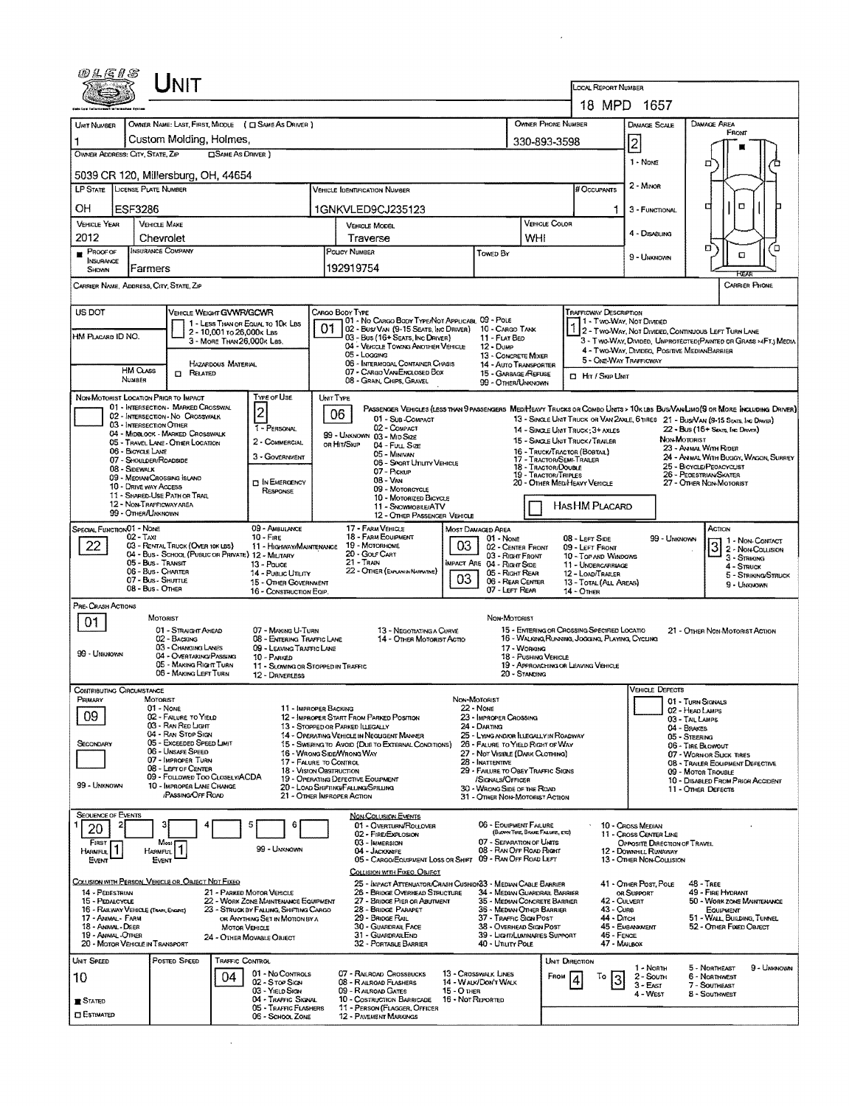|                                                                                                                                                                                                                                                          |                              | UNIT                                                                                    |                                                      |                                                                          |                                                            |                                                                                                                                           |                           |                                                                       |                                                                                               |                                                                                    |                                                                               |                                                                                                                   |                                |                                                 |                                     |
|----------------------------------------------------------------------------------------------------------------------------------------------------------------------------------------------------------------------------------------------------------|------------------------------|-----------------------------------------------------------------------------------------|------------------------------------------------------|--------------------------------------------------------------------------|------------------------------------------------------------|-------------------------------------------------------------------------------------------------------------------------------------------|---------------------------|-----------------------------------------------------------------------|-----------------------------------------------------------------------------------------------|------------------------------------------------------------------------------------|-------------------------------------------------------------------------------|-------------------------------------------------------------------------------------------------------------------|--------------------------------|-------------------------------------------------|-------------------------------------|
|                                                                                                                                                                                                                                                          |                              |                                                                                         |                                                      |                                                                          | <b>LOCAL REPORT NUMBER</b>                                 |                                                                                                                                           |                           |                                                                       |                                                                                               |                                                                                    |                                                                               |                                                                                                                   |                                |                                                 |                                     |
|                                                                                                                                                                                                                                                          |                              |                                                                                         |                                                      |                                                                          | 18 MPD 1657                                                |                                                                                                                                           |                           |                                                                       |                                                                                               |                                                                                    |                                                                               |                                                                                                                   |                                |                                                 |                                     |
| UMT NUMBER                                                                                                                                                                                                                                               |                              |                                                                                         | OWNER NAME: LAST, FIRST, MIDDLE (C) SAME AS DRIVER ) |                                                                          |                                                            | OWNER PHONE NUMBER<br>Damage Area<br>DAMAGE SCALE<br>$\overline{2}$<br>330-893-3598                                                       |                           |                                                                       |                                                                                               |                                                                                    |                                                                               |                                                                                                                   |                                |                                                 |                                     |
| Custom Molding, Holmes,<br>OWNER ADDRESS: CITY, STATE, ZIP<br><b>CISAME AS DRIVER</b> )                                                                                                                                                                  |                              |                                                                                         |                                                      |                                                                          |                                                            |                                                                                                                                           |                           |                                                                       |                                                                                               |                                                                                    |                                                                               |                                                                                                                   |                                |                                                 |                                     |
| 1 - None<br>□<br>5039 CR 120, Millersburg, OH, 44654                                                                                                                                                                                                     |                              |                                                                                         |                                                      |                                                                          |                                                            |                                                                                                                                           |                           |                                                                       |                                                                                               |                                                                                    |                                                                               |                                                                                                                   |                                |                                                 |                                     |
| LP STATE LICENSE PLATE NUMBER<br><b>VEHICLE IDENTIFICATION NUMBER</b>                                                                                                                                                                                    |                              |                                                                                         |                                                      |                                                                          |                                                            |                                                                                                                                           |                           |                                                                       |                                                                                               | # Occupants                                                                        |                                                                               | 2 - Minon                                                                                                         |                                |                                                 |                                     |
| OН                                                                                                                                                                                                                                                       | <b>ESF3286</b>               |                                                                                         |                                                      |                                                                          |                                                            | 1GNKVLED9CJ235123                                                                                                                         |                           |                                                                       |                                                                                               |                                                                                    |                                                                               | 3 - FUNCTIONAL                                                                                                    | с                              | $\Box$                                          |                                     |
| <b>VEHICLE YEAR</b>                                                                                                                                                                                                                                      |                              | <b>VEHICLE MAKE</b>                                                                     |                                                      |                                                                          | <b>VEHICLE MODEL</b>                                       |                                                                                                                                           |                           |                                                                       | VEHICLE COLOR                                                                                 |                                                                                    |                                                                               | 4 - DISABLING                                                                                                     |                                |                                                 |                                     |
| 2012<br>$P$ ROOF OF                                                                                                                                                                                                                                      |                              | Chevrolet<br>INSURANCE COMPANY                                                          |                                                      |                                                                          | Traverse<br>Poucy Number                                   |                                                                                                                                           |                           | Towed By                                                              | WHI                                                                                           |                                                                                    |                                                                               |                                                                                                                   | Ω                              |                                                 | П                                   |
| <b>INSURANCE</b><br>SHOWN                                                                                                                                                                                                                                | Farmers                      |                                                                                         |                                                      |                                                                          |                                                            | 192919754                                                                                                                                 |                           |                                                                       |                                                                                               |                                                                                    |                                                                               | 9 - UNKNOWN                                                                                                       |                                | α                                               |                                     |
| FGA<br><b>CARRIER PHONE</b><br>CARRIER NAME ADDRESS, CITY, STATE, ZIP                                                                                                                                                                                    |                              |                                                                                         |                                                      |                                                                          |                                                            |                                                                                                                                           |                           |                                                                       |                                                                                               |                                                                                    |                                                                               |                                                                                                                   |                                |                                                 |                                     |
| US DOT<br>VEHICLE WEIGHT GVWR/GCWR<br>CARGO BODY TYPE<br>Trafficway Description                                                                                                                                                                          |                              |                                                                                         |                                                      |                                                                          |                                                            |                                                                                                                                           |                           |                                                                       |                                                                                               |                                                                                    |                                                                               |                                                                                                                   |                                |                                                 |                                     |
|                                                                                                                                                                                                                                                          |                              |                                                                                         | 2 - 10,001 to 26,000k Las                            | 1 - LESS THAN OR EQUAL TO 10K LBS                                        | 01                                                         | 101 - No Cargo Body Type/Not Applicabl. 09 - Pole<br>02 - Bus/ VAN (9-15 SEATS, INC DRIVER)                                               |                           | 10 - Cargo Tank                                                       |                                                                                               | 1 - Two-Way, Not Divided                                                           |                                                                               | 2 - TWO-WAY, NOT DIVIDED, CONTINUOUS LEFT TURN LANE                                                               |                                |                                                 |                                     |
| HM Placard ID NO.                                                                                                                                                                                                                                        |                              |                                                                                         | 3 - MORE THAN 26,000K Les.                           |                                                                          |                                                            | 03 - Bus (16+ Seats, Inc Driver)<br>04 - VEHICLE TOWING ANOTHER VEHICLE                                                                   |                           | 11 - FLAT BED<br>12 - Dump                                            |                                                                                               |                                                                                    |                                                                               | 3 - Two-WAY, DIVIDED, UNPROTECTED (PAINTED OR GRASS > 4FT.) MEDIA<br>4 - TWO-WAY, DIVIDEO, POSITIVE MEDIANBARRIER |                                |                                                 |                                     |
|                                                                                                                                                                                                                                                          | <b>HM CLASS</b>              |                                                                                         | HAZARDOUS MATERIAL                                   |                                                                          |                                                            | 05 - Logging<br>06 - INTERMODAL CONTAINER CHASIS<br>07 - CARGO VAN ENGLOSED BOX                                                           |                           | 13 - CONCRETE MIXER<br>14 - AUTO TRANSPORTER                          |                                                                                               |                                                                                    |                                                                               | 5 - ONE-WAY TRAFFICWAY                                                                                            |                                |                                                 |                                     |
|                                                                                                                                                                                                                                                          | NUMBER                       | $\Box$ Related                                                                          |                                                      |                                                                          |                                                            | 08 - GRAIN, CHIPS, GRAVEL                                                                                                                 |                           | 15 - GARBAGE /REFUSE<br>99 - OTHER/UNKNOWN                            |                                                                                               | <b>CI HIT / SKIP UNIT</b>                                                          |                                                                               |                                                                                                                   |                                |                                                 |                                     |
|                                                                                                                                                                                                                                                          |                              | NON-MOTORIST LOCATION PRIOR TO IMPACT<br>01 - INTERSECTION - MARKED CROSSWAL            |                                                      | <b>Type of Use</b>                                                       |                                                            | UNIT TYPE<br>PASSENGER VEHICLES (LESS THAN 9 PASSENGERS MEDIHEAVY TRUCKS OR COMBO UNTS > 10K LBS BUS/VAN/LIMO(9 OR MORE INCLUDING DRIVER) |                           |                                                                       |                                                                                               |                                                                                    |                                                                               |                                                                                                                   |                                |                                                 |                                     |
|                                                                                                                                                                                                                                                          |                              | 02 - INTERSECTION-NO CROSSWALK<br>03 - INTERSECTION OTHER                               |                                                      | $\overline{\mathbf{c}}$<br>1 - PERSONAL                                  |                                                            | 06<br>01 - Sub-COMPACT<br>02 - COMPACT                                                                                                    |                           |                                                                       |                                                                                               | 13 - SINGLE UNIT TRUCK OR VAN 2AXLE, 6 TIRES 21 - BUS/VAN (9-15 SEATS, INC DRIVER) |                                                                               |                                                                                                                   |                                |                                                 |                                     |
|                                                                                                                                                                                                                                                          |                              | 04 - MIDBLOCK - MARKED CROSSWALK<br>05 - Travel Lane - Other Location                   |                                                      | 2 - COMMERCIAL                                                           |                                                            | 99 - UNKNOWN 03 - MID SIZE<br>or Hit/Skip<br>04 - Fuu, Size                                                                               |                           |                                                                       |                                                                                               | 14 - SINGLE UNIT TRUCK: 3+ AXLES<br>15 - SINGLE UNIT TRUCK/TRAILER                 |                                                                               |                                                                                                                   | NON-MOTORIST                   | 22 - Bus (16+ Seats, Inc Driver)                |                                     |
| 23 - AMMAL WITH RIDER<br>06 - BICYCLE LANE<br>16 - Truck/Tractor (Bostal)<br>05 - Minivan<br>3 - GOVERNMENT<br>24 - ANIMAL WITH BUGGY, WAGON, SURREY<br>17 - TRACTOR/SEMI-TRAILER<br>07 - SHOULDER/ROADSIDE<br>06 - SPORT UTILITY VEHICLE                |                              |                                                                                         |                                                      |                                                                          |                                                            |                                                                                                                                           |                           |                                                                       |                                                                                               |                                                                                    |                                                                               |                                                                                                                   |                                |                                                 |                                     |
|                                                                                                                                                                                                                                                          | 08 - Sidewalk                | 09 - MEOIAN/CROSSING ISLAND                                                             |                                                      | <b>DIN EMERGENCY</b>                                                     |                                                            | 07 - Pickup<br>08 - Van                                                                                                                   |                           | 18 - TRACTOR/DOUBLE<br><b>19 - TRACTOR/TRIPLES</b>                    | 20 - OTHER MEDIHEAVY VEHICLE                                                                  |                                                                                    | 25 - BICYCLE/PEOACYCLIST<br>26 - PEOESTRIAN SKATER<br>27 - OTHER NON-MOTORIST |                                                                                                                   |                                |                                                 |                                     |
|                                                                                                                                                                                                                                                          | <b>10 - DRIVE WAY ACCESS</b> | 11 - SHARED-USE PATH OR TRAIL                                                           |                                                      | RESPONSE                                                                 |                                                            | 09 - MOTORCYCLE<br>10 - MOTORIZED BICYCLE                                                                                                 |                           |                                                                       |                                                                                               |                                                                                    |                                                                               |                                                                                                                   |                                |                                                 |                                     |
| 12 - NON-TRAFFICWAY AREA<br>HASHM PLACARD<br>11 - SNOWMOBILE/ATV<br>99 - OTHER/UNKNOWN<br>12 - OTHER PASSENGER VEHICLE                                                                                                                                   |                              |                                                                                         |                                                      |                                                                          |                                                            |                                                                                                                                           |                           |                                                                       |                                                                                               |                                                                                    |                                                                               |                                                                                                                   |                                |                                                 |                                     |
| SPECIAL FUNCTION 01 - NONE                                                                                                                                                                                                                               | $02 - T_Ax$                  |                                                                                         |                                                      | 09 - AMBULANCE<br>10 - FIRE                                              |                                                            | 17 - FARM VEHICLE<br>18 - FARM EQUIPMENT                                                                                                  | Most Damaged Area         | 01 - None                                                             |                                                                                               | 08 - LEFT SIDE                                                                     |                                                                               | 99 - UNKNOWN                                                                                                      |                                | ACTION                                          |                                     |
| 22                                                                                                                                                                                                                                                       |                              | 03 - RENTAL TRUCK (OVER 10K LBS)<br>04 - Bus - School (Public or Private) 12 - Military |                                                      | 11 - HIGHWAY/MAINTENANCE                                                 | 03<br>19 - Мотояноме<br>20 - Golf Cart<br>03 - Right Front |                                                                                                                                           |                           |                                                                       | 02 - CENTER FRONT                                                                             | 09 - LEFT FROM<br>10 - TOP AND WINDOWS                                             |                                                                               |                                                                                                                   |                                | $\overline{3}$                                  | 1 - Non-Contact<br>2 - Non-Counsion |
|                                                                                                                                                                                                                                                          |                              | 05 - Bus - Transit<br>06 - Bus - Charter                                                |                                                      | 13 - Pouce<br>14 - Pusuc Unury                                           |                                                            | 21 - Train<br>22 - OTHER (EXPLAN IN NARRATIVE)                                                                                            |                           | <b>IMPACT ARE 04 - RIGHT SIDE</b><br>05 - RIGHT REAR                  |                                                                                               | 11 - UNDERCARRIAGE<br>12 - LOAD/TRAILER                                            |                                                                               |                                                                                                                   |                                | 3 - Striking<br>$4 -$ Struck                    |                                     |
|                                                                                                                                                                                                                                                          | 08 - Bus - OTHER             | 07 - Bus - SHUTTLE                                                                      |                                                      | 15 - OTHER GOVERNMENT<br>16 - CONSTRUCTION EQIP.                         |                                                            |                                                                                                                                           | 03                        | 06 - REAR CENTER<br>07 - LEFT REAR                                    |                                                                                               | 13 - TOTAL (ALL AREAS)<br>14 - OTHER                                               |                                                                               |                                                                                                                   |                                | 9 - Unknown                                     | 5 - STRIKING/STRUCK                 |
| PRE-CRASH ACTIONS                                                                                                                                                                                                                                        |                              |                                                                                         |                                                      |                                                                          |                                                            |                                                                                                                                           |                           |                                                                       |                                                                                               |                                                                                    |                                                                               |                                                                                                                   |                                |                                                 |                                     |
| 01                                                                                                                                                                                                                                                       |                              | MOTORIST<br>01 - Straight AHEAD                                                         |                                                      | 07 - MAKING U-TURN                                                       |                                                            | 13 - NEGOTIATING A CURVE                                                                                                                  |                           | NON-MOTORIST                                                          |                                                                                               | 15 - ENTERING OR CROSSING SPECIFIED LOCATIO                                        |                                                                               |                                                                                                                   |                                | 21 - OTHER NON-MOTORIST ACTION                  |                                     |
|                                                                                                                                                                                                                                                          |                              | 02 - BACKING<br>03 - CHANGING LANES                                                     |                                                      | 08 - ENTERING TRAFFIC LANE<br>09 - LEAVING TRAFFIC LANE                  |                                                            | 14 - OTHER MOTORIST ACTIO                                                                                                                 |                           |                                                                       | 17 - WORKING                                                                                  | 16 - WALKING RUNNING, JOGGING, PLAYING, CYCLING                                    |                                                                               |                                                                                                                   |                                |                                                 |                                     |
| 99 - UNKNOWN                                                                                                                                                                                                                                             |                              | 04 - OVERTAKING/PASSING<br>05 - MAKING RIGHT TURN                                       |                                                      | 10 - PARKED<br>11 - SLOWING OR STOPPED IN TRAFFIC                        |                                                            |                                                                                                                                           |                           |                                                                       | 18 - PUSHING VEHICLE                                                                          | 19 - APPROACHING OR LEAVING VEHICLE                                                |                                                                               |                                                                                                                   |                                |                                                 |                                     |
|                                                                                                                                                                                                                                                          |                              | 06 - MAKING LEFT TURN                                                                   |                                                      | 12 - DRIVERLESS                                                          |                                                            |                                                                                                                                           |                           |                                                                       | 20 - Standing                                                                                 |                                                                                    |                                                                               |                                                                                                                   |                                |                                                 |                                     |
| CONTRIBUTING CIBOUMSTANCE<br>PRIMARY                                                                                                                                                                                                                     |                              | MOTORIST                                                                                |                                                      |                                                                          |                                                            |                                                                                                                                           | Non-Motorist<br>22 - NONE |                                                                       |                                                                                               |                                                                                    |                                                                               | VEHICLE DEFECTS                                                                                                   | 01 - TURN SIGNALS              |                                                 |                                     |
| 09                                                                                                                                                                                                                                                       |                              | 01 - None<br>02 - FAILURE TO YIELD                                                      |                                                      | 11 - IMPROPER BACKING                                                    |                                                            | 12 - IMPROPER START FROM PARKED POSITION                                                                                                  | 23 - IMPROPER CROSSING    |                                                                       |                                                                                               |                                                                                    | 02 - HEAD LAMPS<br>03 - Tail Lamps                                            |                                                                                                                   |                                |                                                 |                                     |
|                                                                                                                                                                                                                                                          |                              | 03 - Rav Rep Light<br>04 - RAN STOP SIGN                                                |                                                      |                                                                          |                                                            | 13 - STOPPED OR PARKED ILLEGALLY<br>14 - OPERATING VEHICLE IN NEGLIGENT MANNER                                                            |                           | 24 - DARTING<br>25 - LYING ANDIOR ILLEGALLY IN ROADWAY                |                                                                                               |                                                                                    |                                                                               |                                                                                                                   | 04 - BRAKES<br>05 - STEERING   |                                                 |                                     |
| SECONDARY                                                                                                                                                                                                                                                |                              | 05 - Exceeded Speed LIMIT<br>06 - Unsafe Speed                                          |                                                      |                                                                          |                                                            | 15 - SWERING TO AVOID (DUE TO EXTERNAL CONDITIONS)<br>16 - WRONG SIDE/WRONG WAY                                                           |                           | 26 - FALURE TO YIELD RIGHT OF WAY<br>27 - Not Visible (Dark Clothing) |                                                                                               |                                                                                    |                                                                               |                                                                                                                   | 06 - TIRE BLOWOUT              | 07 - WORN OR SLICK TIRES                        |                                     |
|                                                                                                                                                                                                                                                          |                              | 07 - IMPROPER TURN<br>08 - LEFT OF CENTER<br>09 - FOLLOWED TOO CLOSELY/ACDA             |                                                      | 17 - FALURE TO CONTROL<br>18 - VISION OBSTRUCTION                        |                                                            |                                                                                                                                           |                           | 28 - INATTENTIVE                                                      | 08 - TRAILER EQUIPMENT DEFECTIVE<br>29 - FAILURE TO OBEY TRAFFIC SIGNS<br>09 - Motor Trousi F |                                                                                    |                                                                               |                                                                                                                   |                                |                                                 |                                     |
| 99 - UNKNOWN                                                                                                                                                                                                                                             |                              | 10 - IMPROPER LANE CHANGE<br>/PASSING/OFF ROAD                                          |                                                      |                                                                          |                                                            | 19 - OPERATING DEFECTIVE EQUIPMENT<br>20 - LOAD SHIFTING FALLING SPILLING                                                                 |                           | /SIGNALS/OFFICER<br>30 - WRONG SIDE OF THE ROAD                       |                                                                                               | 10 - DISABLED FROM PRIOR ACCIDENT<br>11 - OTHER DEFECTS                            |                                                                               |                                                                                                                   |                                |                                                 |                                     |
|                                                                                                                                                                                                                                                          |                              |                                                                                         |                                                      |                                                                          |                                                            | 21 - OTHER IMPROPER ACTION                                                                                                                |                           | 31 - OTHER NON-MOTORIST ACTION                                        |                                                                                               |                                                                                    |                                                                               |                                                                                                                   |                                |                                                 |                                     |
| <b>SEQUENCE OF EVENTS</b><br>20                                                                                                                                                                                                                          |                              |                                                                                         |                                                      | 6                                                                        |                                                            | NON-COLUSION EVENTS<br>01 - OVERTURN/ROLLOVER                                                                                             |                           | 06 - EOUIPMENT FAILURE                                                |                                                                                               |                                                                                    |                                                                               | 10 - Cross Median                                                                                                 |                                |                                                 |                                     |
| FIRST                                                                                                                                                                                                                                                    |                              | Most                                                                                    |                                                      | 99 - UNKNOWN                                                             |                                                            | 02 - FIRE/EXPLOSION<br>03 - IMMERSION                                                                                                     |                           | 07 - SEPARATION OF UNITS                                              | (BLOWN TIRE, BRADE FAILURE, ETC)                                                              |                                                                                    |                                                                               | 11 - Cross CENTER LINE<br>OPPOSITE DIRECTION OF TRAVEL                                                            |                                |                                                 |                                     |
| HARMFUL<br>EVENT                                                                                                                                                                                                                                         |                              | $H$ ARMFUL $\left  \begin{array}{c} 1 \\ 1 \end{array} \right $<br>EVENT                |                                                      |                                                                          |                                                            | 04 - Jackknife<br>05 - CARGO/EQUIPMENT LOSS OR SHIFT                                                                                      |                           | 08 - RAN OFF ROAD RIGHT<br>09 - RAN OFF ROAD LEFT                     |                                                                                               |                                                                                    |                                                                               | 12 - DOWNHILL RUNAWAY<br>13 - OTHER NON-COLLISION                                                                 |                                |                                                 |                                     |
|                                                                                                                                                                                                                                                          |                              | COLLISION WITH PERSON, VEHICLE OR OBJECT NOT FIXED                                      |                                                      |                                                                          |                                                            | COLLISION WITH FIXEO, OBJECT<br>25 - IMPACT ATTENUATOR/CRASH CUSHION33 - MEDIAN CABLE BARRIER                                             |                           |                                                                       |                                                                                               |                                                                                    |                                                                               | 41 - Other Post, Pole                                                                                             | <b>48 - TREE</b>               |                                                 |                                     |
| 14 - PEDESTRIAN<br>15 - PEDALCYCLE                                                                                                                                                                                                                       |                              |                                                                                         |                                                      | 21 - PARKED MOTOR VEHICLE<br>22 - WORK ZONE MAINTENANCE EQUIPMENT        |                                                            | 26 - BRIDGE OVERHEAD STRUCTURE<br>27 - BRIDGE PIER OR ABUTMENT                                                                            |                           | 34 - MEDIAN GUARDRAIL BARRIER<br>35 - MEDIAN CONCRETE BARRIER         |                                                                                               |                                                                                    | 42 - CULVERT                                                                  | OR SUPPORT                                                                                                        |                                | 49 - FIRE HYDRANT<br>50 - WORK ZONE MAINTENANCE |                                     |
| 16 - RAILWAY VEHICLE (TRAIN, ENGINE)<br>17 - AMMAL - FARM                                                                                                                                                                                                |                              |                                                                                         |                                                      | 23 - STRUCK BY FALLING, SHIFTING CARGO<br>OR ANYTHING SET IN MOTION BY A | 28 - BRIDGE PARAPET<br>29 - BRIDGE RAIL                    |                                                                                                                                           |                           |                                                                       | 36 - MEDIAN OTHER BARRIER<br>43 - Cuns<br>37 - TRAFFIC SIGN POST<br>44 - Олсн                 |                                                                                    |                                                                               |                                                                                                                   |                                | EQUIPMENT<br>51 - WALL, BUILDING, TUNNEL        |                                     |
| 30 - GUARDRAIL FACE<br>38 - Overhead Sign Post<br>45 - EMBANKMENT<br>18 - Animal - Deer<br>52 - Other Fixed Object<br>MOTOR VEHICLE<br>19 - ANIMAL-OTHER<br>31 - GUARDRAILEND<br>39 - Light/Lumnaries Support<br>46 - FENCE<br>24 - OTHER MOVABLE OBJECT |                              |                                                                                         |                                                      |                                                                          |                                                            |                                                                                                                                           |                           |                                                                       |                                                                                               |                                                                                    |                                                                               |                                                                                                                   |                                |                                                 |                                     |
| 20 - MOTOR VEHICLE IN TRANSPORT                                                                                                                                                                                                                          |                              |                                                                                         |                                                      |                                                                          |                                                            | 32 - PORTABLE BARRIER                                                                                                                     |                           | 40 - Utiuty Pole                                                      |                                                                                               |                                                                                    | 47 - MAILBOX                                                                  |                                                                                                                   |                                |                                                 |                                     |
| <b>UNIT SPEED</b>                                                                                                                                                                                                                                        |                              | Posted Speed                                                                            | TRAFFIC CONTROL<br>04                                | 01 - No Controus                                                         |                                                            | 07 - RAILROAD CROSSBUCKS                                                                                                                  | 13 - Crosswalk Lines      |                                                                       | FROM                                                                                          | UNIT DIRECTION<br>To                                                               |                                                                               | 1 - North<br>2 - South                                                                                            | 5 - NORTHEAST<br>6 - NORTHWEST |                                                 | 9 - UNKNOWN                         |
| 10                                                                                                                                                                                                                                                       |                              |                                                                                         |                                                      | 02 - Stop Sign<br>03 - YIELD SIGN                                        |                                                            | 08 - RAILROAD FLASHERS<br>09 - RAILROAD GATES                                                                                             | 15 - О тнея               | 14 - WALK/DON'T WALK                                                  |                                                                                               |                                                                                    |                                                                               | 3 - East<br>4 - West                                                                                              | 7 - SOUTHEAST<br>8 - Southwest |                                                 |                                     |
| <b>B</b> Stated                                                                                                                                                                                                                                          |                              |                                                                                         |                                                      | 04 - TRAFFIC SIGNAL<br>05 - TRAFFIC FLASHERS                             |                                                            | 10 - COSTRUCTION BARRICADE 16 - NOT REPORTED<br>11 - PERSON (FLAGGER, OFFICER                                                             |                           |                                                                       |                                                                                               |                                                                                    |                                                                               |                                                                                                                   |                                |                                                 |                                     |
| <b>CI ESTIMATED</b>                                                                                                                                                                                                                                      |                              |                                                                                         |                                                      | 06 - SCHOOL ZONE                                                         |                                                            | <b>12 - PAVEMENT MARKINGS</b>                                                                                                             |                           |                                                                       |                                                                                               |                                                                                    |                                                                               |                                                                                                                   |                                |                                                 |                                     |

 $\mathcal{L}^{\text{max}}_{\text{max}}$  ,  $\mathcal{L}^{\text{max}}_{\text{max}}$ 

 $\mathcal{L}^{\text{max}}_{\text{max}}$  and  $\mathcal{L}^{\text{max}}_{\text{max}}$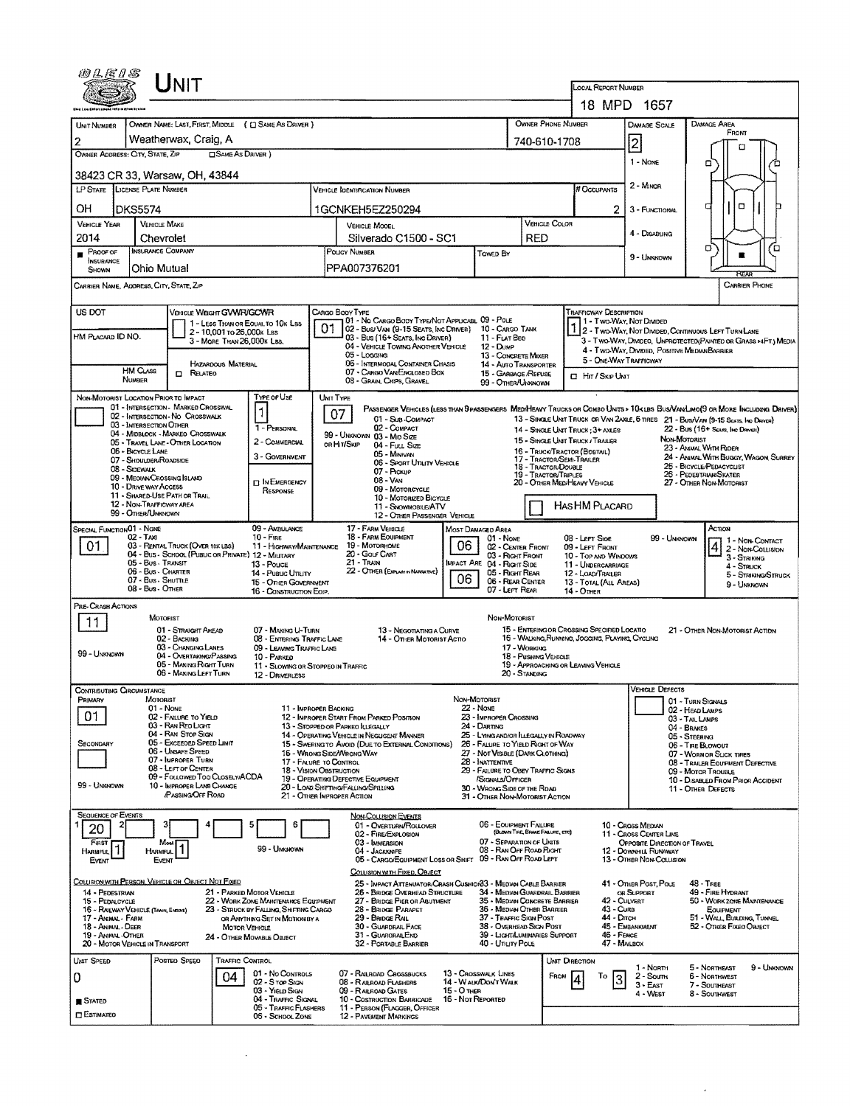| UNIT                                                                                                                   |                                              |                                                                          |                            |                                                                                                             |           |                                                                                                                                                                                               |                                                                    |                                                                                            |                                      |                                                               |                                                                                                 | <b>LOCAL REPORT NUMBER</b><br>18 MPD 1657                                                                       |                                                                |                                         |             |  |  |  |
|------------------------------------------------------------------------------------------------------------------------|----------------------------------------------|--------------------------------------------------------------------------|----------------------------|-------------------------------------------------------------------------------------------------------------|-----------|-----------------------------------------------------------------------------------------------------------------------------------------------------------------------------------------------|--------------------------------------------------------------------|--------------------------------------------------------------------------------------------|--------------------------------------|---------------------------------------------------------------|-------------------------------------------------------------------------------------------------|-----------------------------------------------------------------------------------------------------------------|----------------------------------------------------------------|-----------------------------------------|-------------|--|--|--|
|                                                                                                                        |                                              |                                                                          |                            |                                                                                                             |           |                                                                                                                                                                                               |                                                                    |                                                                                            |                                      | OWNER PHONE NUMBER                                            |                                                                                                 | <b>DAMAGE SCALE</b>                                                                                             | DAMAGE AREA                                                    |                                         |             |  |  |  |
| UNIT NUMBER<br>2                                                                                                       |                                              | Weatherwax, Craig, A                                                     |                            | OWNER NAME: LAST, FIRST, MIDDLE ( C) SAME AS DRIVER )                                                       |           |                                                                                                                                                                                               | 740-610-1708                                                       |                                                                                            | FRONT                                |                                                               |                                                                                                 |                                                                                                                 |                                                                |                                         |             |  |  |  |
| SAME AS DRIVER)<br>OWNER ADDRESS: CITY, STATE, ZIP                                                                     |                                              |                                                                          |                            |                                                                                                             |           |                                                                                                                                                                                               |                                                                    |                                                                                            |                                      |                                                               |                                                                                                 | 2<br>1 - None                                                                                                   | o                                                              | п                                       |             |  |  |  |
| 38423 CR 33, Warsaw, OH, 43844                                                                                         |                                              |                                                                          |                            |                                                                                                             |           |                                                                                                                                                                                               |                                                                    |                                                                                            |                                      |                                                               |                                                                                                 |                                                                                                                 |                                                                |                                         |             |  |  |  |
| LP STATE LICENSE PLATE NUMBER                                                                                          |                                              |                                                                          |                            |                                                                                                             |           | <b>VEHICLE IDENTIFICATION NUMBER</b>                                                                                                                                                          |                                                                    |                                                                                            |                                      |                                                               | # Occupants                                                                                     | 2 - MINOR                                                                                                       | а                                                              |                                         |             |  |  |  |
| OH<br><b>VEHICLE YEAR</b>                                                                                              | <b>DKS5574</b><br><b>VEHICLE MAKE</b>        |                                                                          |                            |                                                                                                             |           | 1GCNKEH5EZ250294                                                                                                                                                                              |                                                                    |                                                                                            |                                      | VEHICLE COLOR                                                 | 2.                                                                                              | 3 - FUNCTIONAL                                                                                                  | ۵                                                              |                                         |             |  |  |  |
| 2014                                                                                                                   | Chevrolet                                    |                                                                          |                            |                                                                                                             |           | <b>VEHICLE MOOEL</b><br>Silverado C1500 - SC1                                                                                                                                                 |                                                                    | RED                                                                                        |                                      |                                                               | 4 - DISABLING                                                                                   | O.                                                                                                              |                                                                |                                         |             |  |  |  |
| $P_{ROOF OF}$<br>INSURANCE<br>SHOWN                                                                                    | <b>INSURANCE COMPANY</b><br>Ohio Mutual      |                                                                          |                            |                                                                                                             |           | POLICY NUMBER<br>Towep By<br>PPA007376201                                                                                                                                                     |                                                                    |                                                                                            |                                      |                                                               |                                                                                                 | 9 - UNKNOWN                                                                                                     |                                                                | ם                                       |             |  |  |  |
| CARRIER NAME, ADDRESS, CITY, STATE, ZIP                                                                                |                                              |                                                                          |                            |                                                                                                             |           |                                                                                                                                                                                               |                                                                    |                                                                                            |                                      |                                                               |                                                                                                 | <b>CARRIER PHONE</b>                                                                                            |                                                                |                                         |             |  |  |  |
| US DOT                                                                                                                 |                                              | VEHICLE WEIGHT GWWR/GCWR                                                 |                            |                                                                                                             |           | CARGO BOOY TYPE<br>01 - No CARGO BODY TYPE/NOT APPLICABL 09 - POLE                                                                                                                            |                                                                    |                                                                                            |                                      |                                                               | <b>TRAFFICWAY DESCRIPTION</b>                                                                   |                                                                                                                 |                                                                |                                         |             |  |  |  |
| HM PLACARD ID NO.                                                                                                      |                                              |                                                                          | 2 - 10,001 To 26,000 K Las | 1 - LESS THAN OR EQUAL TO 10K LBS                                                                           | 01        | 02 - Busi Van (9-15 Seats, Inc Driver) 10 - Cargo Tank<br>03 - Bus (16+ SEATS, INC DRIVER)                                                                                                    |                                                                    | 11 - FLAT BEO                                                                              |                                      |                                                               | 1 - Two-Way, Not Dimbed                                                                         | 2 - Two-Way, Not Divideo, Continuous Left Turn Lane                                                             |                                                                |                                         |             |  |  |  |
|                                                                                                                        |                                              |                                                                          | 3 - MORE THAN 26.000K LBS. |                                                                                                             |           | 04 - VEHICLE TOWING ANOTHER VEHICLE<br>05 - Loccing                                                                                                                                           |                                                                    | 12 - Duse                                                                                  | 13 - CONCRETE MIXER                  |                                                               |                                                                                                 | 3 - Two-Way, DMDEO, UNPROTECTED (PAINTED OR GRASS >4FT.) MEDIA<br>4 - Two-Way, Divided, Positive Median Barrier |                                                                |                                         |             |  |  |  |
|                                                                                                                        | <b>HM CLASS</b><br><b>NUMBER</b>             | <b>D</b> RELATED                                                         | HAZARDOUS MATERIAL         |                                                                                                             |           | 06 - INTERMODAL CONTAINER CHASIS<br>07 - CARGO VAN ENGLOSED BOX                                                                                                                               | 14 - AUTO TRANSPORTER<br>15 - GARBAGE /REFUSE                      |                                                                                            |                                      | <b>El Hir / Skip Unit</b>                                     | 5 - ONE-WAY TRAFFICWAY                                                                          |                                                                                                                 |                                                                |                                         |             |  |  |  |
| NON-MOTORIST LOCATION PRIOR TO IMPACT                                                                                  |                                              |                                                                          |                            | Type or Use                                                                                                 | UNIT TYPE | 08 - GRAIN, CHIPS, GRAVEL                                                                                                                                                                     |                                                                    | 99 - Other/Unknown                                                                         |                                      |                                                               |                                                                                                 |                                                                                                                 |                                                                |                                         |             |  |  |  |
|                                                                                                                        |                                              | 01 - INTERSECTION - MARKED CROSSWAL<br>02 - INTERSECTION - NO CROSSWALK  |                            | 1                                                                                                           | 07        | PASSENGER VEHICLES (LESS THAN 9 PASSENGERS MEDIMEANY TRUCKS OR COMBO UNITS > 10KLBS BUS/VAN/LIMO(9 OR MORE INCLUDING DRIVER)<br>01 - Sub-COMPACT                                              |                                                                    |                                                                                            |                                      |                                                               |                                                                                                 | 13 - SINGLE UNIT TRUCK OR VAN 2AXLE, 6 TIRES 21 - BUSIVAN (9-15 SEATS, INC DRIVER)                              |                                                                |                                         |             |  |  |  |
|                                                                                                                        | 03 - INTERSECTION OTHER                      | 04 - MIDBLOCK - MARKED CROSSWALK                                         |                            | 1 - PERSONAL                                                                                                |           | 02 - COMPACT<br>99 - UNKNOWN 03 - MID SIZE                                                                                                                                                    |                                                                    |                                                                                            |                                      |                                                               | 14 - SINGLE UNIT TRUCK; 3+ AXLES<br>15 - SINGLE UNIT THUCK / TRAILER                            |                                                                                                                 | 22 - Bus (16+ Seats, Inc Driver)<br>NON-MOTORIST               |                                         |             |  |  |  |
|                                                                                                                        | 06 - BICYCLE LANE<br>07 - Shoulder/Roadside  | 05 - TRAVEL LANE - OTHER LOCATION                                        |                            | 2 - COMMERCIAL<br>3 - GOVERNMENT                                                                            |           | OR HIT/SKIP<br>04 - Full Size<br>05 - Minivan                                                                                                                                                 |                                                                    |                                                                                            |                                      | 17 - Tractor/Semi-Trailer                                     | 16 - TRUCK/TRACTOR (BOBTAIL)                                                                    |                                                                                                                 | 23 - ANMAL WITH PEDER<br>24 - ANIMAL WITH BUGGY, WAGON, SURREY |                                         |             |  |  |  |
|                                                                                                                        | 08 - Sidewalk<br>09 - MEDIAN CROSSING ISLAND |                                                                          |                            |                                                                                                             |           | 06 - Sport Utility Vehicle<br>07 - PICKUP<br>$08 - VAN$                                                                                                                                       |                                                                    | 18 - TRACTOR/DOUBLE<br>19 - Tractor/Triples                                                |                                      | 25 - BICYCLE/PEDACYCLIST<br>26 - PEDESTRIAN/SKATER            |                                                                                                 |                                                                                                                 |                                                                |                                         |             |  |  |  |
|                                                                                                                        | 10 - DRIVE WAY ACCESS                        | 11 - SHARED-USE PATH OR TRAIL                                            |                            | <b>DIN EMERGENCY</b><br>RESPONSE                                                                            |           | 09 - MOTORCYCLE<br>10 - MOTORIZED BICYCLE                                                                                                                                                     |                                                                    |                                                                                            |                                      |                                                               | 20 - OTHER MEDIHEAVY VEHICLE                                                                    |                                                                                                                 | 27 - OTHER NON-MOTORIST                                        |                                         |             |  |  |  |
| 12 - NON-TRAFFICWAY AREA<br>HASHM PLACARD<br>11 - SNOWMOBILE/ATV<br>99 - OTHER/UNKNOWN<br>12 - OTHER PASSENGER VEHICLE |                                              |                                                                          |                            |                                                                                                             |           |                                                                                                                                                                                               |                                                                    |                                                                                            |                                      |                                                               |                                                                                                 |                                                                                                                 |                                                                |                                         |             |  |  |  |
| 09 - AMBULANCE<br>SPECIAL FUNCTION 01 - NONE<br>$02 - TAX1$<br>$10 - F_{1RE}$<br>03 - RENTAL TRUCK (OVER 10K LBS)      |                                              |                                                                          |                            |                                                                                                             |           | 17 - FARM VEHICLE<br>18 - FARM EQUIPMENT                                                                                                                                                      | 06                                                                 | MOST DAMAGED AREA<br>01 - None                                                             |                                      |                                                               | 08 - Lert Sige                                                                                  | 99 - Unknown                                                                                                    | Астон                                                          | 1 1 - Non-Contact                       |             |  |  |  |
| 01                                                                                                                     | 05 - Bus - Transit                           | 04 - Bus - SCHOOL (PUBLIC OR PRIVATE) 12 - MILITARY                      |                            | 11 - HIGHWAY/MAINTENANCE<br>13 - Pouce                                                                      |           | 19 - Мотояноме<br>20 - Gour CART<br>21 - Train                                                                                                                                                | 02 - CENTER FRONT<br>03 - RIGHT FRONT<br>MPACT ARE 04 - RIGHT SIDE |                                                                                            |                                      | 09 - Left Front<br>10 - TOP AND WINDOWS<br>11 - UNDERCARRIAGE |                                                                                                 |                                                                                                                 | 4 2 - Non-COLLISION<br>3 - STRIKING                            |                                         |             |  |  |  |
|                                                                                                                        | 06 - Bus - Charter<br>07 - Bus - SHUTTLE     |                                                                          |                            | 14 - Public Untiny<br>15 - OTHER GOVERNMENT                                                                 |           | 22 - OTHER (EXPLAN IN NARRATIVE)                                                                                                                                                              | 05 - Right Rear<br>06 - REAR CENTER                                |                                                                                            |                                      | 12 - LOAD/TRAILER<br>13 - TOTAL (ALL AREAS)                   |                                                                                                 |                                                                                                                 | 4 - Struck<br>5 - Striking/Struck<br>9 - UNKNOWN               |                                         |             |  |  |  |
|                                                                                                                        | $08 - Bus - O$ THER                          |                                                                          |                            | 16 - CONSTRUCTION EOIP.                                                                                     |           |                                                                                                                                                                                               | 06                                                                 | 07 - LEFT REAR                                                                             |                                      |                                                               | <b>14 - OTHER</b>                                                                               |                                                                                                                 |                                                                |                                         |             |  |  |  |
| PRE-CRASH ACTIONS<br>11                                                                                                |                                              | MOTORIST                                                                 |                            |                                                                                                             |           |                                                                                                                                                                                               |                                                                    | NON-MOTORIST                                                                               |                                      |                                                               |                                                                                                 |                                                                                                                 |                                                                |                                         |             |  |  |  |
|                                                                                                                        |                                              | 01 - STRAIGHT AHEAD<br>02 - BACKING                                      |                            | 07 - MAKING U-TURN<br>08 - ENTERING TRAFFIC LANE                                                            |           | 13 - Negotiating a Curve<br>14 - Other Motorist Actio                                                                                                                                         |                                                                    |                                                                                            |                                      |                                                               | 15 - ENTERING OR CROSSING SPECIFIED LOCATIO<br>16 - WALKING, RUNNING, JOGGING, PLAYING, CYCLING |                                                                                                                 | 21 - OTHER NON-MOTORIST ACTION                                 |                                         |             |  |  |  |
| 99 - Unknown                                                                                                           |                                              | 03 - CHANGING LANES<br>04 - OVERTAKING/PASSING<br>05 - MAKING RIGHT TURN |                            | 09 - LEAVING TRAFFIC LANE<br>10 - PARKED<br>11 - SLOWING OR STOPPEO IN TRAFFIC                              |           |                                                                                                                                                                                               |                                                                    |                                                                                            | 17 - WORKING<br>18 - Pushing Venicle |                                                               | 19 - APPROACHING OR LEAVING VEHICLE                                                             |                                                                                                                 |                                                                |                                         |             |  |  |  |
|                                                                                                                        |                                              | 06 - MAKING LEFT TURN                                                    |                            | 12 - DRIVERLESS                                                                                             |           |                                                                                                                                                                                               |                                                                    |                                                                                            | 20 - STANDING                        |                                                               |                                                                                                 |                                                                                                                 |                                                                |                                         |             |  |  |  |
| CONTRIBUTING CIRCUMSTANCE<br>PRIMARY                                                                                   | MOTORIST                                     |                                                                          |                            |                                                                                                             |           |                                                                                                                                                                                               |                                                                    | NON-MOTORIST<br>$22 -$ None                                                                |                                      |                                                               |                                                                                                 | <b>IVEHICLE DEFECTS</b>                                                                                         | 01 - TURN SIGNALS                                              |                                         |             |  |  |  |
| 01                                                                                                                     |                                              | $01 - None$<br>02 - FAILURE TO YIELD<br>03 - RAN RED LIGHT               |                            | 11 - IMPROPER BACKING                                                                                       |           | 12 - IMPROPER START FROM PARKED POSITION<br>13 - STOPPED OR PARKED LLEGALLY                                                                                                                   |                                                                    | 23 - IMPROPER CROSSING<br>24 - DARTING                                                     |                                      |                                                               | 02 - HEAD LAMPS<br>03 - Tai Laups<br>04 - BRAKES                                                |                                                                                                                 |                                                                |                                         |             |  |  |  |
| SECONDARY                                                                                                              |                                              | 04 - RAN STOP SIGN<br>05 - Exceeded Speed Limit                          |                            |                                                                                                             |           | 14 - OPERATING VEHICLE IN NEGLIGENT MANNER<br>15 - SWERINGTO AVOID (DUE TO EXTERNAL CONOMIONS)                                                                                                |                                                                    | 25 - LYING ANDIOR ILLEGALLY IN ROADWAY<br>26 - FALURE TO YIELD RIGHT OF WAY                |                                      |                                                               |                                                                                                 |                                                                                                                 | 05 - STEERING<br>06 - TIRE BLOWOUT                             |                                         |             |  |  |  |
|                                                                                                                        |                                              | 06 - UNSAFE SPEED<br>07 - IMPROPER TURN<br>08 - LEFT OF CENTER           |                            | 17 - FALURE TO CONTROL                                                                                      |           | 16 - WRONG SIDE/WRONG WAY                                                                                                                                                                     |                                                                    | 27 - NOT VISIBLE (DARK CLOTHING)<br>28 - INATTENTIVE                                       |                                      |                                                               |                                                                                                 |                                                                                                                 | 07 - WORN OR SLICK TIRES<br>08 - TRAILER EQUIPMENT DEFECTIVE   |                                         |             |  |  |  |
| 99 - Unknown                                                                                                           |                                              | 09 - Fou owen Too CLOSELY/ACDA<br>10 - IMPROPER LANE CHANGE              |                            |                                                                                                             |           | 18 - VISION OBSTRUCTION<br>29 - FAILURE TO OBEY TRAFFIC SIGNS<br>19 - OPERATING DEFECTIVE EQUIPMENT<br>/SIGNALS/OFFICER<br>20 - LOAD SHIFTING/FALLING/SPILLING<br>30 - WRONG SIDE OF THE ROAD |                                                                    |                                                                                            |                                      |                                                               |                                                                                                 | 09 - MOTOR TROUBLE<br>10 - DISABLED FROM PRIOR ACCIDENT                                                         |                                                                |                                         |             |  |  |  |
|                                                                                                                        |                                              | /PASSING/OFF ROAD                                                        |                            |                                                                                                             |           | 21 - OTHER IMPROPER ACTION                                                                                                                                                                    |                                                                    | 31 - OTHER NON-MOTORIST ACTION                                                             |                                      |                                                               |                                                                                                 |                                                                                                                 | 11 - OTHER DEFECTS                                             |                                         |             |  |  |  |
| <b>SEQUENCE OF EVENTS</b><br>20                                                                                        |                                              |                                                                          |                            | 6                                                                                                           |           | <b>NON-COLLISION EVENTS</b><br>01 - OVERTURN/ROLLOVER                                                                                                                                         |                                                                    | 06 - EQUIPMENT FAILURE                                                                     |                                      |                                                               |                                                                                                 | 10 - Cross Median                                                                                               |                                                                |                                         |             |  |  |  |
| FIRST<br>HARMFUL <sup>1</sup>                                                                                          |                                              | Most                                                                     |                            | 99 - UNKNOWN                                                                                                |           | 02 - FIRE/EXPLOSION<br>03 - IMMERSION                                                                                                                                                         |                                                                    | 07 - Separation of Units<br>08 - RAN OFF ROAD RIGHT                                        | (BLOWN TIRE, BRAKE FAILURE, ETC)     |                                                               |                                                                                                 | 11 - Cross CENTER LINE<br><b>OPPOSITE DIRECTION OF TRAVEL</b>                                                   |                                                                |                                         |             |  |  |  |
| EVENT                                                                                                                  | HARMFUL<br>EVENT                             |                                                                          |                            |                                                                                                             |           | 04 - Jackknife<br>05 - CARGO/EQUIPMENT LOSS OR SHIFT                                                                                                                                          |                                                                    | 09 - RAN OFF ROAD LEFT                                                                     |                                      |                                                               |                                                                                                 | 12 - DOWNHILL RUNAWAY<br>13 - Other Non-Collision                                                               |                                                                |                                         |             |  |  |  |
| COLLISION WITH PERSON, VEHICLE OR OBJECT NOT FIXED                                                                     |                                              |                                                                          |                            |                                                                                                             |           | COLLISION WITH FIXED, OBJECT<br>25 - IMPACT ATTENUATOR/CRASH CUSHION33 - MEDIAN CABLE BARRIER                                                                                                 |                                                                    |                                                                                            |                                      |                                                               |                                                                                                 | 41 - OTHER POST, POLE                                                                                           | <b>48 - TREE</b>                                               |                                         |             |  |  |  |
| 14 - PEDESTRIAN<br>15 - PEDALCYCLE<br>16 - RAILWAY VEHICLE (TRAIN, ENDORE)                                             |                                              |                                                                          |                            | 21 - PARKED MOTOR VEHICLE<br>22 - WORK ZONE MAINTENANCE EQUIPMENT<br>23 - STRUCK BY FALLING, SHIFTING CARGO |           | 26 - BRIDGE OVERHEAD STRUCTURE<br>27 - BRIDGE PIER OR ABUTHENT<br>28 - BRIDGE PARAPET                                                                                                         |                                                                    | 34 - MEDIAN GUARDRAIL BARRIER<br>35 - MEDIAN CONCRETE BARRIER<br>36 - Median Other Barrier |                                      |                                                               | 42 - CULVERT<br>43 - Cure                                                                       | OR SUPPORT                                                                                                      | 49 - FIRE HYDRANT                                              | 50 - WORK ZONE MAINTENANCE<br>EQUIPMENT |             |  |  |  |
| 17 - ANIMAL - FARM<br>18 - Animal - Deer                                                                               |                                              |                                                                          | <b>MOTOR VEHICLE</b>       | OR ANYTHING SET IN MOTION BY A                                                                              |           | 29 - Brudge Rail<br>30 - GUARDRAIL FACE                                                                                                                                                       | 37 - TRAFFIC SIGN POST<br>38 - Overhead Sign Post                  |                                                                                            |                                      | 44 - Олсн                                                     | 45 - EMBANKMENT                                                                                 | 51 - WALL BUILDING TUNNEL<br>52 - OTHER FIXEO OBJECT                                                            |                                                                |                                         |             |  |  |  |
| 19 - ANIMAL - OTHER<br>20 - MOTOR VEHICLE IN TRANSPORT                                                                 |                                              |                                                                          |                            | 24 - OTHER MOVABLE OBJECT                                                                                   |           | 31 - GUARORALEND<br>32 - PORTABLE BARRIER                                                                                                                                                     |                                                                    | 39 - LighthLuminaries Support<br>40 - Unury Pous                                           |                                      |                                                               | 46 - FENCE<br>47 - MAILBOX                                                                      |                                                                                                                 |                                                                |                                         |             |  |  |  |
| UNIT SPEED                                                                                                             |                                              | Posted Speed                                                             | TRAFFIC CONTROL            |                                                                                                             |           |                                                                                                                                                                                               |                                                                    |                                                                                            |                                      | UNIT DIRECTION                                                |                                                                                                 | 1 - North                                                                                                       | 5 - Northeast                                                  |                                         | 9 - UNKNOWN |  |  |  |
| 0                                                                                                                      |                                              |                                                                          | 04                         | 01 - No Controls<br>02 - S TOP SIGN<br>03 - Yield Sign                                                      |           | 07 - RAILROAD CROSSBUCKS<br>08 - RAILROAD FLASHERS<br>09 - RAILROAD GATES                                                                                                                     | 15 - О тнев                                                        | 13 - Crosswalk Lines<br><b>14 - Walk/Don't Walk</b>                                        |                                      | FROM                                                          | Τо                                                                                              | 2 - South<br>$3 - E$ AST                                                                                        | 6 - NORTHWEST<br>7 - SOUTHEAST                                 |                                         |             |  |  |  |
| STATED<br><b>ESTIMATEO</b>                                                                                             |                                              |                                                                          |                            | 04 - TRAFFIC SIGNAL<br>05 - TRAFFIC FLASHERS                                                                |           | 10 - Costruction Barricade<br>11 - PERSON (FLAGGER, OFFICER                                                                                                                                   | 16 - Not Reported                                                  |                                                                                            |                                      |                                                               |                                                                                                 | 4 - West                                                                                                        | 8 - SOUTHWEST                                                  |                                         |             |  |  |  |
|                                                                                                                        |                                              |                                                                          |                            | 06 - SCHOOL ZONE                                                                                            |           | 12 - PAVEMENT MARKINGS                                                                                                                                                                        |                                                                    |                                                                                            |                                      |                                                               |                                                                                                 |                                                                                                                 |                                                                |                                         |             |  |  |  |

 $\sim$ 

 $\mathcal{L}^{\text{max}}_{\text{max}}$  and  $\mathcal{L}^{\text{max}}_{\text{max}}$